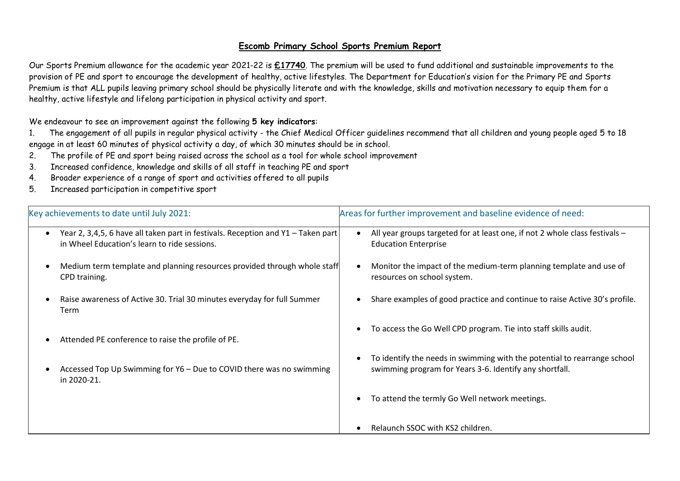## **Escomb Primary School Sports Premium Report**

Our Sports Premium allowance for the academic year 2021-22 is **£17740**. The premium will be used to fund additional and sustainable improvements to the provision of PE and sport to encourage the development of healthy, active lifestyles. The Department for Education's vision for the Primary PE and Sports Premium is that ALL pupils leaving primary school should be physically literate and with the knowledge, skills and motivation necessary to equip them for a healthy, active lifestyle and lifelong participation in physical activity and sport.

We endeavour to see an improvement against the following **5 key indicators**:

1. The engagement of all pupils in regular physical activity - the Chief Medical Officer guidelines recommend that all children and young people aged 5 to 18 engage in at least 60 minutes of physical activity a day, of which 30 minutes should be in school.

- 2. The profile of PE and sport being raised across the school as a tool for whole school improvement
- 3. Increased confidence, knowledge and skills of all staff in teaching PE and sport
- 4. Broader experience of a range of sport and activities offered to all pupils
- 5. Increased participation in competitive sport

| Key achievements to date until July 2021:                                                                                        | Areas for further improvement and baseline evidence of need:                                                                        |
|----------------------------------------------------------------------------------------------------------------------------------|-------------------------------------------------------------------------------------------------------------------------------------|
| Year 2, 3,4,5, 6 have all taken part in festivals. Reception and Y1 - Taken part<br>in Wheel Education's learn to ride sessions. | All year groups targeted for at least one, if not 2 whole class festivals -<br><b>Education Enterprise</b>                          |
| Medium term template and planning resources provided through whole staff<br>CPD training.                                        | Monitor the impact of the medium-term planning template and use of<br>resources on school system.                                   |
| Raise awareness of Active 30. Trial 30 minutes everyday for full Summer<br>Term                                                  | Share examples of good practice and continue to raise Active 30's profile.                                                          |
| Attended PE conference to raise the profile of PE.                                                                               | To access the Go Well CPD program. Tie into staff skills audit.<br>$\bullet$                                                        |
| Accessed Top Up Swimming for Y6 - Due to COVID there was no swimming<br>in 2020-21.                                              | To identify the needs in swimming with the potential to rearrange school<br>swimming program for Years 3-6. Identify any shortfall. |
|                                                                                                                                  | To attend the termly Go Well network meetings.                                                                                      |
|                                                                                                                                  | Relaunch SSOC with KS2 children.                                                                                                    |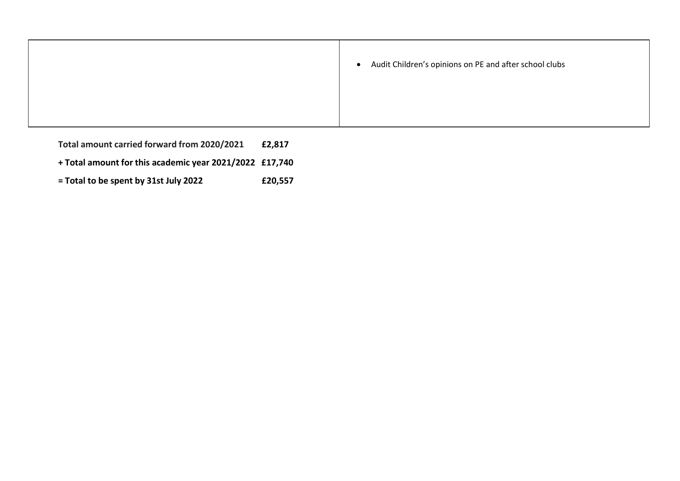| Audit Children's opinions on PE and after school clubs<br>$\bullet$ |
|---------------------------------------------------------------------|
|                                                                     |

- **Total amount carried forward from 2020/2021 £2,817**
- **+ Total amount for this academic year 2021/2022 £17,740**
- **= Total to be spent by 31st July 2022 £20,557**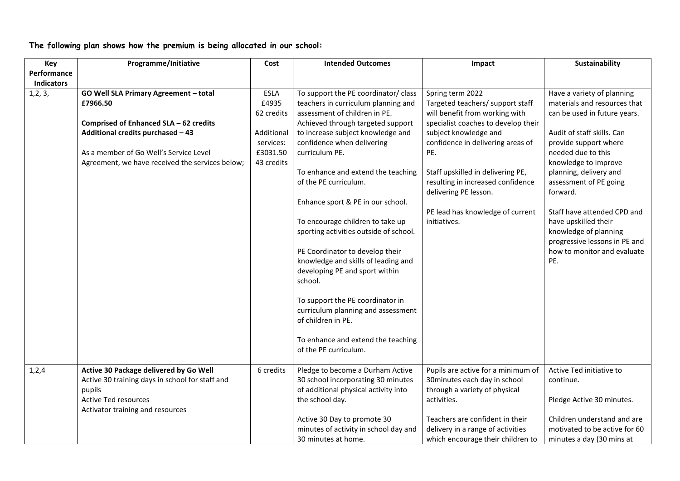**The following plan shows how the premium is being allocated in our school:**

| Key               | Programme/Initiative                                                                                                                                                                                                          | Cost                                                                             | <b>Intended Outcomes</b>                                                                                                                                                                                                                                                                                                                                                                                                                                                                                                                                                                                                                                                                                       | Impact                                                                                                                                                                                                                                                                                                                                                    | Sustainability                                                                                                                                                                                                                                                                                                                                                                                                         |
|-------------------|-------------------------------------------------------------------------------------------------------------------------------------------------------------------------------------------------------------------------------|----------------------------------------------------------------------------------|----------------------------------------------------------------------------------------------------------------------------------------------------------------------------------------------------------------------------------------------------------------------------------------------------------------------------------------------------------------------------------------------------------------------------------------------------------------------------------------------------------------------------------------------------------------------------------------------------------------------------------------------------------------------------------------------------------------|-----------------------------------------------------------------------------------------------------------------------------------------------------------------------------------------------------------------------------------------------------------------------------------------------------------------------------------------------------------|------------------------------------------------------------------------------------------------------------------------------------------------------------------------------------------------------------------------------------------------------------------------------------------------------------------------------------------------------------------------------------------------------------------------|
| Performance       |                                                                                                                                                                                                                               |                                                                                  |                                                                                                                                                                                                                                                                                                                                                                                                                                                                                                                                                                                                                                                                                                                |                                                                                                                                                                                                                                                                                                                                                           |                                                                                                                                                                                                                                                                                                                                                                                                                        |
| <b>Indicators</b> |                                                                                                                                                                                                                               |                                                                                  |                                                                                                                                                                                                                                                                                                                                                                                                                                                                                                                                                                                                                                                                                                                |                                                                                                                                                                                                                                                                                                                                                           |                                                                                                                                                                                                                                                                                                                                                                                                                        |
| 1, 2, 3,          | GO Well SLA Primary Agreement - total<br>£7966.50<br>Comprised of Enhanced SLA - 62 credits<br>Additional credits purchased - 43<br>As a member of Go Well's Service Level<br>Agreement, we have received the services below; | ESLA<br>£4935<br>62 credits<br>Additional<br>services:<br>£3031.50<br>43 credits | To support the PE coordinator/ class<br>teachers in curriculum planning and<br>assessment of children in PE.<br>Achieved through targeted support<br>to increase subject knowledge and<br>confidence when delivering<br>curriculum PE.<br>To enhance and extend the teaching<br>of the PE curriculum.<br>Enhance sport & PE in our school.<br>To encourage children to take up<br>sporting activities outside of school.<br>PE Coordinator to develop their<br>knowledge and skills of leading and<br>developing PE and sport within<br>school.<br>To support the PE coordinator in<br>curriculum planning and assessment<br>of children in PE.<br>To enhance and extend the teaching<br>of the PE curriculum. | Spring term 2022<br>Targeted teachers/ support staff<br>will benefit from working with<br>specialist coaches to develop their<br>subject knowledge and<br>confidence in delivering areas of<br>PE.<br>Staff upskilled in delivering PE,<br>resulting in increased confidence<br>delivering PE lesson.<br>PE lead has knowledge of current<br>initiatives. | Have a variety of planning<br>materials and resources that<br>can be used in future years.<br>Audit of staff skills. Can<br>provide support where<br>needed due to this<br>knowledge to improve<br>planning, delivery and<br>assessment of PE going<br>forward.<br>Staff have attended CPD and<br>have upskilled their<br>knowledge of planning<br>progressive lessons in PE and<br>how to monitor and evaluate<br>PE. |
|                   |                                                                                                                                                                                                                               |                                                                                  |                                                                                                                                                                                                                                                                                                                                                                                                                                                                                                                                                                                                                                                                                                                |                                                                                                                                                                                                                                                                                                                                                           |                                                                                                                                                                                                                                                                                                                                                                                                                        |
| 1, 2, 4           | Active 30 Package delivered by Go Well<br>Active 30 training days in school for staff and<br>pupils<br><b>Active Ted resources</b>                                                                                            | 6 credits                                                                        | Pledge to become a Durham Active<br>30 school incorporating 30 minutes<br>of additional physical activity into<br>the school day.                                                                                                                                                                                                                                                                                                                                                                                                                                                                                                                                                                              | Pupils are active for a minimum of<br>30 minutes each day in school<br>through a variety of physical<br>activities.                                                                                                                                                                                                                                       | Active Ted initiative to<br>continue.<br>Pledge Active 30 minutes.                                                                                                                                                                                                                                                                                                                                                     |
|                   | Activator training and resources                                                                                                                                                                                              |                                                                                  | Active 30 Day to promote 30<br>minutes of activity in school day and<br>30 minutes at home.                                                                                                                                                                                                                                                                                                                                                                                                                                                                                                                                                                                                                    | Teachers are confident in their<br>delivery in a range of activities<br>which encourage their children to                                                                                                                                                                                                                                                 | Children understand and are<br>motivated to be active for 60<br>minutes a day (30 mins at                                                                                                                                                                                                                                                                                                                              |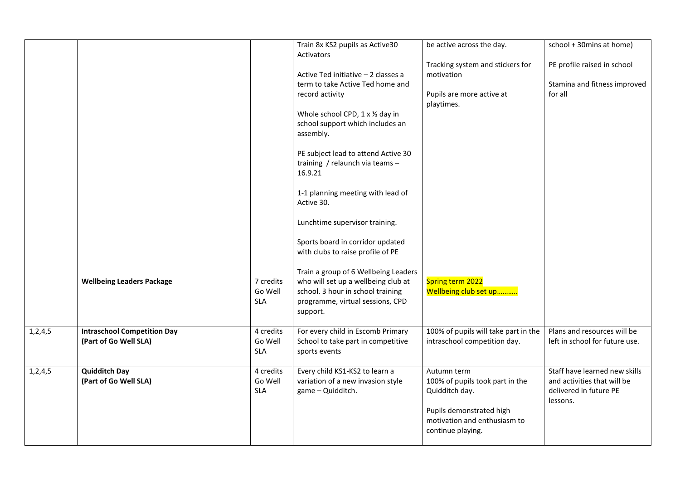|            |                                                             |                                    | Train 8x KS2 pupils as Active30<br><b>Activators</b>                                                                                                             | be active across the day.                                                                                                                         | school + 30mins at home)                                                                           |
|------------|-------------------------------------------------------------|------------------------------------|------------------------------------------------------------------------------------------------------------------------------------------------------------------|---------------------------------------------------------------------------------------------------------------------------------------------------|----------------------------------------------------------------------------------------------------|
|            |                                                             |                                    |                                                                                                                                                                  | Tracking system and stickers for                                                                                                                  | PE profile raised in school                                                                        |
|            |                                                             |                                    | Active Ted initiative - 2 classes a<br>term to take Active Ted home and                                                                                          | motivation                                                                                                                                        | Stamina and fitness improved                                                                       |
|            |                                                             |                                    | record activity                                                                                                                                                  | Pupils are more active at<br>playtimes.                                                                                                           | for all                                                                                            |
|            |                                                             |                                    | Whole school CPD, 1 x 1/2 day in<br>school support which includes an<br>assembly.                                                                                |                                                                                                                                                   |                                                                                                    |
|            |                                                             |                                    | PE subject lead to attend Active 30<br>training / relaunch via teams -<br>16.9.21                                                                                |                                                                                                                                                   |                                                                                                    |
|            |                                                             |                                    | 1-1 planning meeting with lead of<br>Active 30.                                                                                                                  |                                                                                                                                                   |                                                                                                    |
|            |                                                             |                                    | Lunchtime supervisor training.                                                                                                                                   |                                                                                                                                                   |                                                                                                    |
|            |                                                             |                                    | Sports board in corridor updated<br>with clubs to raise profile of PE                                                                                            |                                                                                                                                                   |                                                                                                    |
|            | <b>Wellbeing Leaders Package</b>                            | 7 credits<br>Go Well<br><b>SLA</b> | Train a group of 6 Wellbeing Leaders<br>who will set up a wellbeing club at<br>school. 3 hour in school training<br>programme, virtual sessions, CPD<br>support. | Spring term 2022<br>Wellbeing club set up                                                                                                         |                                                                                                    |
| 1,2,4,5    | <b>Intraschool Competition Day</b><br>(Part of Go Well SLA) | 4 credits<br>Go Well<br><b>SLA</b> | For every child in Escomb Primary<br>School to take part in competitive<br>sports events                                                                         | 100% of pupils will take part in the<br>intraschool competition day.                                                                              | Plans and resources will be<br>left in school for future use.                                      |
| 1, 2, 4, 5 | <b>Quidditch Day</b><br>(Part of Go Well SLA)               | 4 credits<br>Go Well<br><b>SLA</b> | Every child KS1-KS2 to learn a<br>variation of a new invasion style<br>game - Quidditch.                                                                         | Autumn term<br>100% of pupils took part in the<br>Quidditch day.<br>Pupils demonstrated high<br>motivation and enthusiasm to<br>continue playing. | Staff have learned new skills<br>and activities that will be<br>delivered in future PE<br>lessons. |
|            |                                                             |                                    |                                                                                                                                                                  |                                                                                                                                                   |                                                                                                    |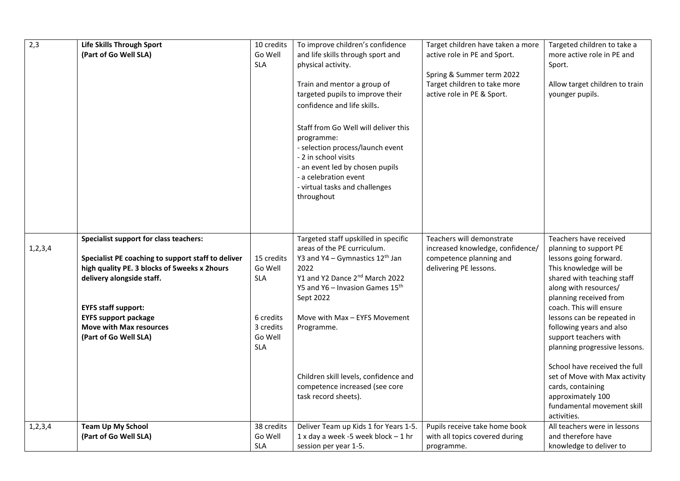| $\overline{2,3}$ | Life Skills Through Sport<br>(Part of Go Well SLA)                                                                                                                                                                                                                                                | 10 credits<br>Go Well<br><b>SLA</b>                                                    | To improve children's confidence<br>and life skills through sport and<br>physical activity.<br>Train and mentor a group of<br>targeted pupils to improve their<br>confidence and life skills.<br>Staff from Go Well will deliver this<br>programme:<br>- selection process/launch event<br>- 2 in school visits<br>- an event led by chosen pupils<br>- a celebration event<br>- virtual tasks and challenges<br>throughout | Target children have taken a more<br>active role in PE and Sport.<br>Spring & Summer term 2022<br>Target children to take more<br>active role in PE & Sport. | Targeted children to take a<br>more active role in PE and<br>Sport.<br>Allow target children to train<br>younger pupils.                                                                                                                                                                                                                                                                                                                                                                      |
|------------------|---------------------------------------------------------------------------------------------------------------------------------------------------------------------------------------------------------------------------------------------------------------------------------------------------|----------------------------------------------------------------------------------------|-----------------------------------------------------------------------------------------------------------------------------------------------------------------------------------------------------------------------------------------------------------------------------------------------------------------------------------------------------------------------------------------------------------------------------|--------------------------------------------------------------------------------------------------------------------------------------------------------------|-----------------------------------------------------------------------------------------------------------------------------------------------------------------------------------------------------------------------------------------------------------------------------------------------------------------------------------------------------------------------------------------------------------------------------------------------------------------------------------------------|
| 1, 2, 3, 4       | Specialist support for class teachers:<br>Specialist PE coaching to support staff to deliver<br>high quality PE. 3 blocks of 5weeks x 2hours<br>delivery alongside staff.<br><b>EYFS staff support:</b><br><b>EYFS support package</b><br><b>Move with Max resources</b><br>(Part of Go Well SLA) | 15 credits<br>Go Well<br><b>SLA</b><br>6 credits<br>3 credits<br>Go Well<br><b>SLA</b> | Targeted staff upskilled in specific<br>areas of the PE curriculum.<br>Y3 and Y4 - Gymnastics $12^{th}$ Jan<br>2022<br>Y1 and Y2 Dance 2 <sup>nd</sup> March 2022<br>Y5 and Y6 - Invasion Games $15^{th}$<br>Sept 2022<br>Move with Max - EYFS Movement<br>Programme.<br>Children skill levels, confidence and<br>competence increased (see core<br>task record sheets).                                                    | Teachers will demonstrate<br>increased knowledge, confidence/<br>competence planning and<br>delivering PE lessons.                                           | Teachers have received<br>planning to support PE<br>lessons going forward.<br>This knowledge will be<br>shared with teaching staff<br>along with resources/<br>planning received from<br>coach. This will ensure<br>lessons can be repeated in<br>following years and also<br>support teachers with<br>planning progressive lessons.<br>School have received the full<br>set of Move with Max activity<br>cards, containing<br>approximately 100<br>fundamental movement skill<br>activities. |
| 1, 2, 3, 4       | <b>Team Up My School</b><br>(Part of Go Well SLA)                                                                                                                                                                                                                                                 | 38 credits<br>Go Well<br><b>SLA</b>                                                    | Deliver Team up Kids 1 for Years 1-5.<br>1 x day a week -5 week block $-1$ hr<br>session per year 1-5.                                                                                                                                                                                                                                                                                                                      | Pupils receive take home book<br>with all topics covered during<br>programme.                                                                                | All teachers were in lessons<br>and therefore have<br>knowledge to deliver to                                                                                                                                                                                                                                                                                                                                                                                                                 |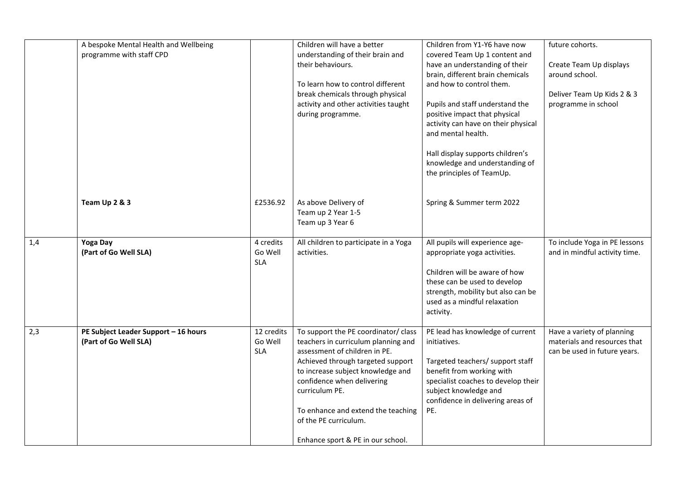|     | A bespoke Mental Health and Wellbeing |            | Children will have a better                                        | Children from Y1-Y6 have now                                       | future cohorts.                           |
|-----|---------------------------------------|------------|--------------------------------------------------------------------|--------------------------------------------------------------------|-------------------------------------------|
|     | programme with staff CPD              |            | understanding of their brain and                                   | covered Team Up 1 content and                                      |                                           |
|     |                                       |            | their behaviours.                                                  | have an understanding of their<br>brain, different brain chemicals | Create Team Up displays<br>around school. |
|     |                                       |            | To learn how to control different                                  | and how to control them.                                           |                                           |
|     |                                       |            | break chemicals through physical                                   |                                                                    | Deliver Team Up Kids 2 & 3                |
|     |                                       |            | activity and other activities taught<br>during programme.          | Pupils and staff understand the<br>positive impact that physical   | programme in school                       |
|     |                                       |            |                                                                    | activity can have on their physical<br>and mental health.          |                                           |
|     |                                       |            |                                                                    | Hall display supports children's                                   |                                           |
|     |                                       |            |                                                                    | knowledge and understanding of                                     |                                           |
|     |                                       |            |                                                                    | the principles of TeamUp.                                          |                                           |
|     |                                       |            |                                                                    |                                                                    |                                           |
|     | Team Up 2 & 3                         | £2536.92   | As above Delivery of<br>Team up 2 Year 1-5                         | Spring & Summer term 2022                                          |                                           |
|     |                                       |            | Team up 3 Year 6                                                   |                                                                    |                                           |
| 1,4 | Yoga Day                              | 4 credits  | All children to participate in a Yoga                              | All pupils will experience age-                                    | To include Yoga in PE lessons             |
|     | (Part of Go Well SLA)                 | Go Well    | activities.                                                        | appropriate yoga activities.                                       | and in mindful activity time.             |
|     |                                       | <b>SLA</b> |                                                                    | Children will be aware of how                                      |                                           |
|     |                                       |            |                                                                    | these can be used to develop                                       |                                           |
|     |                                       |            |                                                                    | strength, mobility but also can be<br>used as a mindful relaxation |                                           |
|     |                                       |            |                                                                    | activity.                                                          |                                           |
| 2,3 | PE Subject Leader Support - 16 hours  | 12 credits | To support the PE coordinator/ class                               | PE lead has knowledge of current                                   | Have a variety of planning                |
|     | (Part of Go Well SLA)                 | Go Well    | teachers in curriculum planning and                                | initiatives.                                                       | materials and resources that              |
|     |                                       | <b>SLA</b> | assessment of children in PE.<br>Achieved through targeted support | Targeted teachers/ support staff                                   | can be used in future years.              |
|     |                                       |            | to increase subject knowledge and                                  | benefit from working with                                          |                                           |
|     |                                       |            | confidence when delivering                                         | specialist coaches to develop their                                |                                           |
|     |                                       |            | curriculum PE.                                                     | subject knowledge and<br>confidence in delivering areas of         |                                           |
|     |                                       |            | To enhance and extend the teaching                                 | PE.                                                                |                                           |
|     |                                       |            | of the PE curriculum.                                              |                                                                    |                                           |
|     |                                       |            | Enhance sport & PE in our school.                                  |                                                                    |                                           |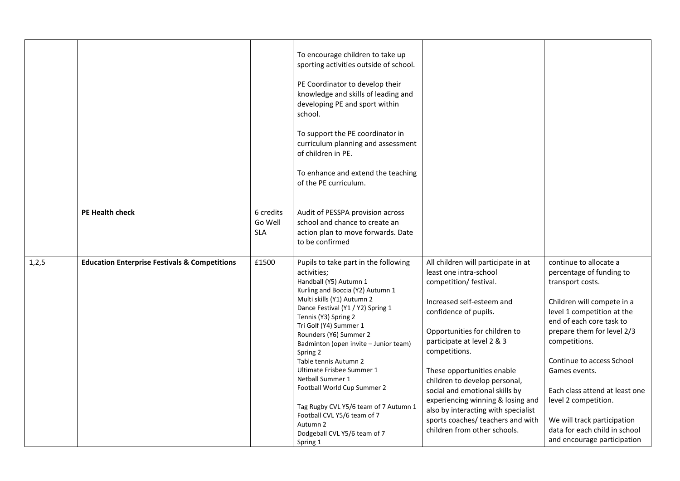|       |                                                          |                                    | To encourage children to take up<br>sporting activities outside of school.<br>PE Coordinator to develop their<br>knowledge and skills of leading and<br>developing PE and sport within<br>school.                                                                                                                                                                                                                                                                                                                                                              |                                                                                                                                                                                                                                                                                                                                                                                                                                                                                 |                                                                                                                                                                                                                                                                                                                                                                                                                      |
|-------|----------------------------------------------------------|------------------------------------|----------------------------------------------------------------------------------------------------------------------------------------------------------------------------------------------------------------------------------------------------------------------------------------------------------------------------------------------------------------------------------------------------------------------------------------------------------------------------------------------------------------------------------------------------------------|---------------------------------------------------------------------------------------------------------------------------------------------------------------------------------------------------------------------------------------------------------------------------------------------------------------------------------------------------------------------------------------------------------------------------------------------------------------------------------|----------------------------------------------------------------------------------------------------------------------------------------------------------------------------------------------------------------------------------------------------------------------------------------------------------------------------------------------------------------------------------------------------------------------|
|       |                                                          |                                    | To support the PE coordinator in<br>curriculum planning and assessment<br>of children in PE.                                                                                                                                                                                                                                                                                                                                                                                                                                                                   |                                                                                                                                                                                                                                                                                                                                                                                                                                                                                 |                                                                                                                                                                                                                                                                                                                                                                                                                      |
|       |                                                          |                                    | To enhance and extend the teaching<br>of the PE curriculum.                                                                                                                                                                                                                                                                                                                                                                                                                                                                                                    |                                                                                                                                                                                                                                                                                                                                                                                                                                                                                 |                                                                                                                                                                                                                                                                                                                                                                                                                      |
|       | <b>PE Health check</b>                                   | 6 credits<br>Go Well<br><b>SLA</b> | Audit of PESSPA provision across<br>school and chance to create an<br>action plan to move forwards. Date<br>to be confirmed                                                                                                                                                                                                                                                                                                                                                                                                                                    |                                                                                                                                                                                                                                                                                                                                                                                                                                                                                 |                                                                                                                                                                                                                                                                                                                                                                                                                      |
| 1,2,5 | <b>Education Enterprise Festivals &amp; Competitions</b> | £1500                              | Pupils to take part in the following<br>activities;<br>Handball (Y5) Autumn 1<br>Kurling and Boccia (Y2) Autumn 1<br>Multi skills (Y1) Autumn 2<br>Dance Festival (Y1 / Y2) Spring 1<br>Tennis (Y3) Spring 2<br>Tri Golf (Y4) Summer 1<br>Rounders (Y6) Summer 2<br>Badminton (open invite - Junior team)<br>Spring 2<br>Table tennis Autumn 2<br>Ultimate Frisbee Summer 1<br>Netball Summer 1<br>Football World Cup Summer 2<br>Tag Rugby CVL Y5/6 team of 7 Autumn 1<br>Football CVL Y5/6 team of 7<br>Autumn 2<br>Dodgeball CVL Y5/6 team of 7<br>Spring 1 | All children will participate in at<br>least one intra-school<br>competition/ festival.<br>Increased self-esteem and<br>confidence of pupils.<br>Opportunities for children to<br>participate at level 2 & 3<br>competitions.<br>These opportunities enable<br>children to develop personal,<br>social and emotional skills by<br>experiencing winning & losing and<br>also by interacting with specialist<br>sports coaches/ teachers and with<br>children from other schools. | continue to allocate a<br>percentage of funding to<br>transport costs.<br>Children will compete in a<br>level 1 competition at the<br>end of each core task to<br>prepare them for level 2/3<br>competitions.<br>Continue to access School<br>Games events.<br>Each class attend at least one<br>level 2 competition.<br>We will track participation<br>data for each child in school<br>and encourage participation |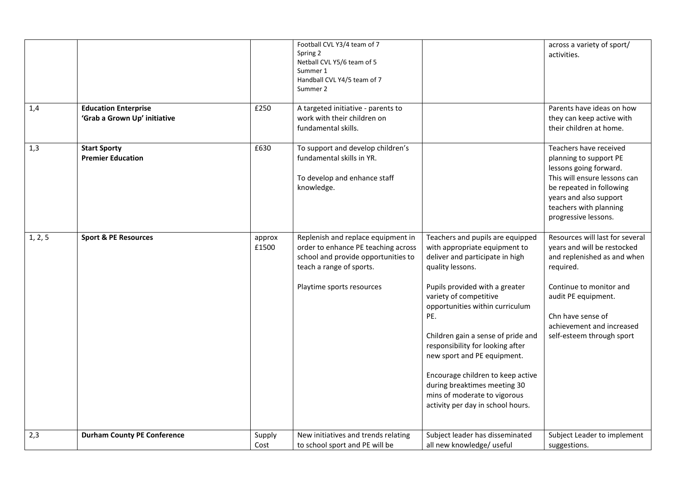|         |                                                             |                 | Football CVL Y3/4 team of 7<br>Spring 2<br>Netball CVL Y5/6 team of 5<br>Summer 1<br>Handball CVL Y4/5 team of 7<br>Summer 2                                              |                                                                                                                                                                                                                                                                                                                                                                                                                                                                                   | across a variety of sport/<br>activities.                                                                                                                                                                                                   |
|---------|-------------------------------------------------------------|-----------------|---------------------------------------------------------------------------------------------------------------------------------------------------------------------------|-----------------------------------------------------------------------------------------------------------------------------------------------------------------------------------------------------------------------------------------------------------------------------------------------------------------------------------------------------------------------------------------------------------------------------------------------------------------------------------|---------------------------------------------------------------------------------------------------------------------------------------------------------------------------------------------------------------------------------------------|
| 1,4     | <b>Education Enterprise</b><br>'Grab a Grown Up' initiative | £250            | A targeted initiative - parents to<br>work with their children on<br>fundamental skills.                                                                                  |                                                                                                                                                                                                                                                                                                                                                                                                                                                                                   | Parents have ideas on how<br>they can keep active with<br>their children at home.                                                                                                                                                           |
| 1,3     | <b>Start Sporty</b><br><b>Premier Education</b>             | £630            | To support and develop children's<br>fundamental skills in YR.<br>To develop and enhance staff<br>knowledge.                                                              |                                                                                                                                                                                                                                                                                                                                                                                                                                                                                   | Teachers have received<br>planning to support PE<br>lessons going forward.<br>This will ensure lessons can<br>be repeated in following<br>years and also support<br>teachers with planning<br>progressive lessons.                          |
| 1, 2, 5 | <b>Sport &amp; PE Resources</b>                             | approx<br>£1500 | Replenish and replace equipment in<br>order to enhance PE teaching across<br>school and provide opportunities to<br>teach a range of sports.<br>Playtime sports resources | Teachers and pupils are equipped<br>with appropriate equipment to<br>deliver and participate in high<br>quality lessons.<br>Pupils provided with a greater<br>variety of competitive<br>opportunities within curriculum<br>PE.<br>Children gain a sense of pride and<br>responsibility for looking after<br>new sport and PE equipment.<br>Encourage children to keep active<br>during breaktimes meeting 30<br>mins of moderate to vigorous<br>activity per day in school hours. | Resources will last for several<br>years and will be restocked<br>and replenished as and when<br>required.<br>Continue to monitor and<br>audit PE equipment.<br>Chn have sense of<br>achievement and increased<br>self-esteem through sport |
| 2,3     | <b>Durham County PE Conference</b>                          | Supply<br>Cost  | New initiatives and trends relating<br>to school sport and PE will be                                                                                                     | Subject leader has disseminated<br>all new knowledge/ useful                                                                                                                                                                                                                                                                                                                                                                                                                      | Subject Leader to implement<br>suggestions.                                                                                                                                                                                                 |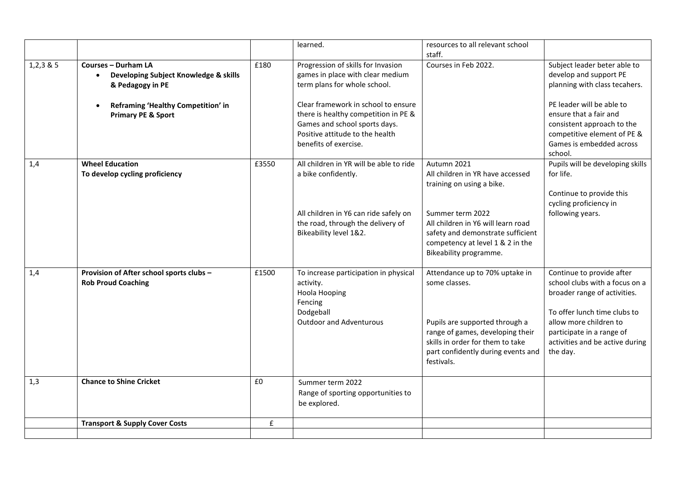|             |                                                                                         |       | learned.                                                                                                                                                                 | resources to all relevant school<br>staff.                                                                                                                                                                    |                                                                                                                                                                                                                                   |
|-------------|-----------------------------------------------------------------------------------------|-------|--------------------------------------------------------------------------------------------------------------------------------------------------------------------------|---------------------------------------------------------------------------------------------------------------------------------------------------------------------------------------------------------------|-----------------------------------------------------------------------------------------------------------------------------------------------------------------------------------------------------------------------------------|
| $1,2,3$ & 5 | <b>Courses - Durham LA</b><br>Developing Subject Knowledge & skills<br>& Pedagogy in PE | £180  | Progression of skills for Invasion<br>games in place with clear medium<br>term plans for whole school.                                                                   | Courses in Feb 2022.                                                                                                                                                                                          | Subject leader beter able to<br>develop and support PE<br>planning with class tecahers.                                                                                                                                           |
|             | Reframing 'Healthy Competition' in<br><b>Primary PE &amp; Sport</b>                     |       | Clear framework in school to ensure<br>there is healthy competition in PE &<br>Games and school sports days.<br>Positive attitude to the health<br>benefits of exercise. |                                                                                                                                                                                                               | PE leader will be able to<br>ensure that a fair and<br>consistent approach to the<br>competitive element of PE &<br>Games is embedded across<br>school.                                                                           |
| 1,4         | <b>Wheel Education</b><br>To develop cycling proficiency                                | £3550 | All children in YR will be able to ride<br>a bike confidently.                                                                                                           | Autumn 2021<br>All children in YR have accessed<br>training on using a bike.                                                                                                                                  | Pupils will be developing skills<br>for life.<br>Continue to provide this<br>cycling proficiency in                                                                                                                               |
|             |                                                                                         |       | All children in Y6 can ride safely on<br>the road, through the delivery of<br>Bikeability level 1&2.                                                                     | Summer term 2022<br>All children in Y6 will learn road<br>safety and demonstrate sufficient<br>competency at level 1 & 2 in the<br>Bikeability programme.                                                     | following years.                                                                                                                                                                                                                  |
| 1,4         | Provision of After school sports clubs -<br><b>Rob Proud Coaching</b>                   | £1500 | To increase participation in physical<br>activity.<br>Hoola Hooping<br>Fencing<br>Dodgeball<br><b>Outdoor and Adventurous</b>                                            | Attendance up to 70% uptake in<br>some classes.<br>Pupils are supported through a<br>range of games, developing their<br>skills in order for them to take<br>part confidently during events and<br>festivals. | Continue to provide after<br>school clubs with a focus on a<br>broader range of activities.<br>To offer lunch time clubs to<br>allow more children to<br>participate in a range of<br>activities and be active during<br>the day. |
| 1,3         | <b>Chance to Shine Cricket</b>                                                          | £0    | Summer term 2022<br>Range of sporting opportunities to<br>be explored.                                                                                                   |                                                                                                                                                                                                               |                                                                                                                                                                                                                                   |
|             | <b>Transport &amp; Supply Cover Costs</b>                                               | £     |                                                                                                                                                                          |                                                                                                                                                                                                               |                                                                                                                                                                                                                                   |
|             |                                                                                         |       |                                                                                                                                                                          |                                                                                                                                                                                                               |                                                                                                                                                                                                                                   |